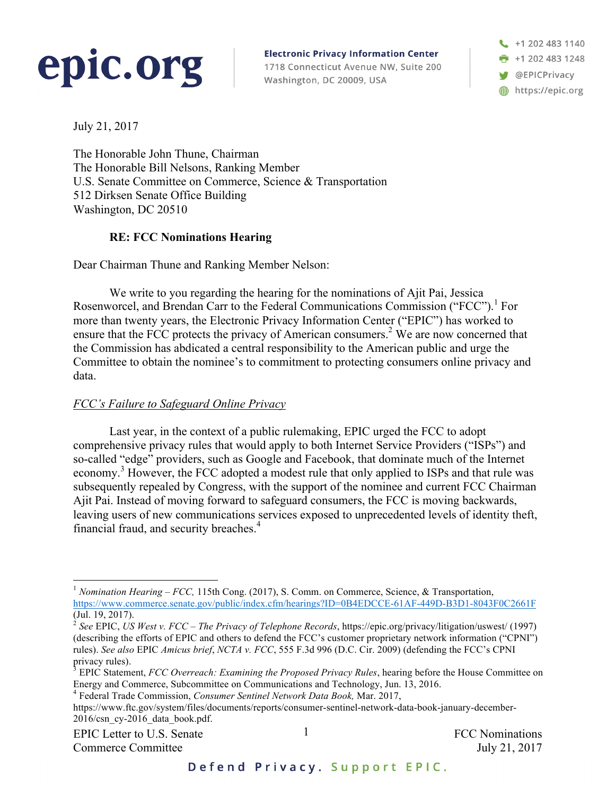# epic.org

**Electronic Privacy Information Center** 1718 Connecticut Avenue NW, Suite 200 Washington, DC 20009, USA

+1 202 483 1140 +1 202 483 1248 @EPICPrivacy https://epic.org

July 21, 2017

The Honorable John Thune, Chairman The Honorable Bill Nelsons, Ranking Member U.S. Senate Committee on Commerce, Science & Transportation 512 Dirksen Senate Office Building Washington, DC 20510

### **RE: FCC Nominations Hearing**

Dear Chairman Thune and Ranking Member Nelson:

We write to you regarding the hearing for the nominations of Ajit Pai, Jessica Rosenworcel, and Brendan Carr to the Federal Communications Commission ("FCC").<sup>1</sup> For more than twenty years, the Electronic Privacy Information Center ("EPIC") has worked to ensure that the FCC protects the privacy of American consumers.<sup>2</sup> We are now concerned that the Commission has abdicated a central responsibility to the American public and urge the Committee to obtain the nominee's to commitment to protecting consumers online privacy and data.

### *FCC's Failure to Safeguard Online Privacy*

Last year, in the context of a public rulemaking, EPIC urged the FCC to adopt comprehensive privacy rules that would apply to both Internet Service Providers ("ISPs") and so-called "edge" providers, such as Google and Facebook, that dominate much of the Internet economy.<sup>3</sup> However, the FCC adopted a modest rule that only applied to ISPs and that rule was subsequently repealed by Congress, with the support of the nominee and current FCC Chairman Ajit Pai. Instead of moving forward to safeguard consumers, the FCC is moving backwards, leaving users of new communications services exposed to unprecedented levels of identity theft, financial fraud, and security breaches.<sup>4</sup>

EPIC Letter to U.S. Senate  $\frac{1}{1}$  FCC Nominations Commerce Committee July 21, 2017

<sup>&</sup>lt;sup>1</sup> *Nomination Hearing – FCC*, 115th Cong. (2017), S. Comm. on Commerce, Science, & Transportation, https://www.commerce.senate.gov/public/index.cfm/hearings?ID=0B4EDCCE-61AF-449D-B3D1-8043F0C2661F (Jul. 19, 2017).

<sup>2</sup> *See* EPIC, *US West v. FCC – The Privacy of Telephone Records*, https://epic.org/privacy/litigation/uswest/ (1997) (describing the efforts of EPIC and others to defend the FCC's customer proprietary network information ("CPNI") rules). *See also* EPIC *Amicus brief*, *NCTA v. FCC*, 555 F.3d 996 (D.C. Cir. 2009) (defending the FCC's CPNI privacy rules).

<sup>3</sup> EPIC Statement, *FCC Overreach: Examining the Proposed Privacy Rules*, hearing before the House Committee on Energy and Commerce, Subcommittee on Communications and Technology, Jun. 13, 2016.

<sup>4</sup> Federal Trade Commission, *Consumer Sentinel Network Data Book,* Mar. 2017,

https://www.ftc.gov/system/files/documents/reports/consumer-sentinel-network-data-book-january-december-2016/csn\_cy-2016\_data\_book.pdf.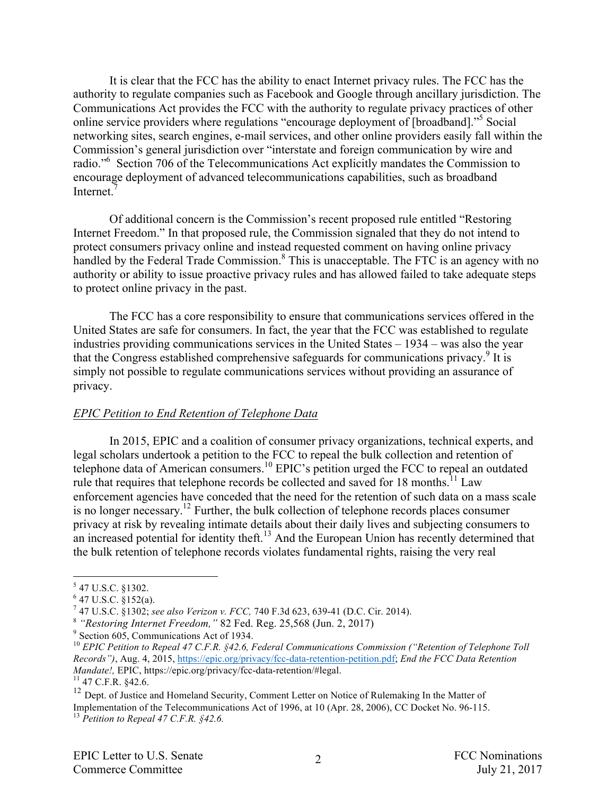It is clear that the FCC has the ability to enact Internet privacy rules. The FCC has the authority to regulate companies such as Facebook and Google through ancillary jurisdiction. The Communications Act provides the FCC with the authority to regulate privacy practices of other online service providers where regulations "encourage deployment of [broadband]."<sup>5</sup> Social networking sites, search engines, e-mail services, and other online providers easily fall within the Commission's general jurisdiction over "interstate and foreign communication by wire and radio."<sup>6</sup> Section 706 of the Telecommunications Act explicitly mandates the Commission to encourage deployment of advanced telecommunications capabilities, such as broadband Internet<sup>7</sup>

Of additional concern is the Commission's recent proposed rule entitled "Restoring Internet Freedom." In that proposed rule, the Commission signaled that they do not intend to protect consumers privacy online and instead requested comment on having online privacy handled by the Federal Trade Commission.<sup>8</sup> This is unacceptable. The FTC is an agency with no authority or ability to issue proactive privacy rules and has allowed failed to take adequate steps to protect online privacy in the past.

The FCC has a core responsibility to ensure that communications services offered in the United States are safe for consumers. In fact, the year that the FCC was established to regulate industries providing communications services in the United States – 1934 – was also the year that the Congress established comprehensive safeguards for communications privacy.<sup>9</sup> It is simply not possible to regulate communications services without providing an assurance of privacy.

#### *EPIC Petition to End Retention of Telephone Data*

In 2015, EPIC and a coalition of consumer privacy organizations, technical experts, and legal scholars undertook a petition to the FCC to repeal the bulk collection and retention of telephone data of American consumers.<sup>10</sup> EPIC's petition urged the FCC to repeal an outdated rule that requires that telephone records be collected and saved for  $18$  months.<sup>11</sup> Law enforcement agencies have conceded that the need for the retention of such data on a mass scale is no longer necessary.12 Further, the bulk collection of telephone records places consumer privacy at risk by revealing intimate details about their daily lives and subjecting consumers to an increased potential for identity theft.<sup>13</sup> And the European Union has recently determined that the bulk retention of telephone records violates fundamental rights, raising the very real

 <sup>5</sup> 47 U.S.C. §1302.

 $6$  47 U.S.C.  $\frac{8}{3}$ 152(a).

<sup>7</sup> 47 U.S.C. §1302; *see also Verizon v. FCC,* 740 F.3d 623, 639-41 (D.C. Cir. 2014). 8 *"Restoring Internet Freedom,"* 82 Fed. Reg. 25,568 (Jun. 2, 2017) <sup>9</sup> Section 605, Communications Act of 1934.

<sup>&</sup>lt;sup>10</sup> *EPIC Petition to Repeal 47 C.F.R. §42.6, Federal Communications Commission ("Retention of Telephone Toll Records")*, Aug. 4, 2015, https://epic.org/privacy/fcc-data-retention-petition.pdf; *End the FCC Data Retention Mandate!, EPIC, https://epic.org/privacy/fcc-data-retention/#legal.* <sup>11</sup> 47 C.F.R. §42.6.

<sup>&</sup>lt;sup>12</sup> Dept. of Justice and Homeland Security, Comment Letter on Notice of Rulemaking In the Matter of Implementation of the Telecommunications Act of 1996, at 10 (Apr. 28, 2006), CC Docket No. 96-115. <sup>13</sup> *Petition to Repeal 47 C.F.R. §42.6.*